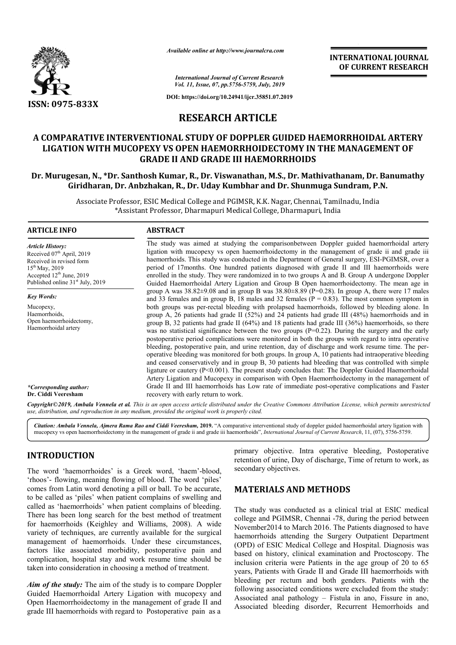

*Available online at http://www.journalcra.com*

## **RESEARCH ARTICLE**

## A COMPARATIVE INTERVENTIONAL STUDY OF DOPPLER GUIDED HAEMORRHOIDAL ARTERY LIGATION WITH MUCOPEXY VS OPEN HAEMORRHOIDECTOMY IN THE MANAGEMENT OF **LIGATION WITH MUCOPEXY VS OPEN HAEMORRHOIDECTOMY IN THE M GRADE II AND GRADE III HAEMORRHOIDS**

## **Dr. Murugesan, N., \*Dr. Santhosh Kumar, R. Dr. R., Dr. Viswanathan, M.S., Dr. Mathivathanam M.S., Mathivathanam, Dr. Banumathy Giridharan, Dr. Anbzhakan Anbzhakan, R., Dr. Uday Kumbhar and Dr. Shunmuga Sundram, P.N.**

|                                                                                                                                                                                                             |                                                                                                                                                                                                                                                                                                                                                                                                                                                                                                                                                                                                                                                                                                                                                                                                                                                                                                                                                                                                                                                                                                                                                                                                                                                                                                                                         | unuvic vinine ui nup.//www.jvurnuicru.com<br><b>INTERNATIONAL JOURNAL</b><br>OF CURRENT RESEARCH                                                                                                                                                                                                                               |
|-------------------------------------------------------------------------------------------------------------------------------------------------------------------------------------------------------------|-----------------------------------------------------------------------------------------------------------------------------------------------------------------------------------------------------------------------------------------------------------------------------------------------------------------------------------------------------------------------------------------------------------------------------------------------------------------------------------------------------------------------------------------------------------------------------------------------------------------------------------------------------------------------------------------------------------------------------------------------------------------------------------------------------------------------------------------------------------------------------------------------------------------------------------------------------------------------------------------------------------------------------------------------------------------------------------------------------------------------------------------------------------------------------------------------------------------------------------------------------------------------------------------------------------------------------------------|--------------------------------------------------------------------------------------------------------------------------------------------------------------------------------------------------------------------------------------------------------------------------------------------------------------------------------|
|                                                                                                                                                                                                             |                                                                                                                                                                                                                                                                                                                                                                                                                                                                                                                                                                                                                                                                                                                                                                                                                                                                                                                                                                                                                                                                                                                                                                                                                                                                                                                                         | <b>International Journal of Current Research</b><br>Vol. 11, Issue, 07, pp.5756-5759, July, 2019                                                                                                                                                                                                                               |
|                                                                                                                                                                                                             |                                                                                                                                                                                                                                                                                                                                                                                                                                                                                                                                                                                                                                                                                                                                                                                                                                                                                                                                                                                                                                                                                                                                                                                                                                                                                                                                         | DOI: https://doi.org/10.24941/ijcr.35851.07.2019                                                                                                                                                                                                                                                                               |
| ISSN: 0975-833X                                                                                                                                                                                             |                                                                                                                                                                                                                                                                                                                                                                                                                                                                                                                                                                                                                                                                                                                                                                                                                                                                                                                                                                                                                                                                                                                                                                                                                                                                                                                                         |                                                                                                                                                                                                                                                                                                                                |
|                                                                                                                                                                                                             |                                                                                                                                                                                                                                                                                                                                                                                                                                                                                                                                                                                                                                                                                                                                                                                                                                                                                                                                                                                                                                                                                                                                                                                                                                                                                                                                         | <b>RESEARCH ARTICLE</b>                                                                                                                                                                                                                                                                                                        |
|                                                                                                                                                                                                             |                                                                                                                                                                                                                                                                                                                                                                                                                                                                                                                                                                                                                                                                                                                                                                                                                                                                                                                                                                                                                                                                                                                                                                                                                                                                                                                                         | A COMPARATIVE INTERVENTIONAL STUDY OF DOPPLER GUIDED HAEMORRHOIDAL ARTERY<br>LIGATION WITH MUCOPEXY VS OPEN HAEMORRHOIDECTOMY IN THE MANAGEMENT OF<br><b>GRADE II AND GRADE III HAEMORRHOIDS</b>                                                                                                                               |
|                                                                                                                                                                                                             |                                                                                                                                                                                                                                                                                                                                                                                                                                                                                                                                                                                                                                                                                                                                                                                                                                                                                                                                                                                                                                                                                                                                                                                                                                                                                                                                         | Dr. Murugesan, N., *Dr. Santhosh Kumar, R., Dr. Viswanathan, M.S., Dr. Mathivathanam, Dr. Banumathy<br>Giridharan, Dr. Anbzhakan, R., Dr. Uday Kumbhar and Dr. Shunmuga Sundram, P.N.                                                                                                                                          |
|                                                                                                                                                                                                             |                                                                                                                                                                                                                                                                                                                                                                                                                                                                                                                                                                                                                                                                                                                                                                                                                                                                                                                                                                                                                                                                                                                                                                                                                                                                                                                                         | Associate Professor, ESIC Medical College and PGIMSR, K.K. Nagar, Chennai, Tamilnadu, India<br>*Assistant Professor, Dharmapuri Medical College, Dharmapuri, India                                                                                                                                                             |
| <b>ARTICLE INFO</b>                                                                                                                                                                                         | <b>ABSTRACT</b>                                                                                                                                                                                                                                                                                                                                                                                                                                                                                                                                                                                                                                                                                                                                                                                                                                                                                                                                                                                                                                                                                                                                                                                                                                                                                                                         |                                                                                                                                                                                                                                                                                                                                |
| <b>Article History:</b><br>Received 07 <sup>th</sup> April, 2019<br>Received in revised form<br>$15^{th}$ May, 2019<br>Accepted 12 <sup>th</sup> June, 2019<br>Published online 31 <sup>st</sup> July, 2019 | The study was aimed at studying the comparisonbetween Doppler guided haemorrhoidal artery<br>ligation with mucopexy vs open haemorrhoidectomy in the management of grade ii and grade iii<br>haemorrhoids. This study was conducted in the Department of General surgery, ESI-PGIMSR, over a<br>period of 17months. One hundred patients diagnosed with grade II and III haemorrhoids were<br>enrolled in the study. They were randomized in to two groups A and B. Group A undergone Doppler<br>Guided Haemorrhoidal Artery Ligation and Group B Open haemorrhoidectomy. The mean age in<br>group A was $38.82 \pm 9.08$ and in group B was $38.80 \pm 8.89$ (P=0.28). In group A, there were 17 males<br>and 33 females and in group B, 18 males and 32 females ( $P = 0.83$ ). The most common symptom in<br>both groups was per-rectal bleeding with prolapsed haemorrhoids, followed by bleeding alone. In<br>group A, 26 patients had grade II (52%) and 24 patients had grade III (48%) haemorrhoids and in<br>group B, 32 patients had grade II (64%) and 18 patients had grade III (36%) haemorrhoids, so there<br>was no statistical significance between the two groups $(P=0.22)$ . During the surgery and the early<br>postoperative period complications were monitored in both the groups with regard to intra operative |                                                                                                                                                                                                                                                                                                                                |
| <b>Key Words:</b><br>Mucopexy,<br>Haemorrhoids,<br>Open haemorrhoidectomy,<br>Haemorrhoidal artery                                                                                                          |                                                                                                                                                                                                                                                                                                                                                                                                                                                                                                                                                                                                                                                                                                                                                                                                                                                                                                                                                                                                                                                                                                                                                                                                                                                                                                                                         |                                                                                                                                                                                                                                                                                                                                |
| *Corresponding author:                                                                                                                                                                                      | bleeding, postoperative pain, and urine retention, day of discharge and work resume time. The per-<br>operative bleeding was monitored for both groups. In group A, 10 patients had intraoperative bleeding<br>and ceased conservatively and in group B, 30 patients had bleeding that was controlled with simple<br>ligature or cautery (P<0.001). The present study concludes that: The Doppler Guided Haemorrhoidal<br>Artery Ligation and Mucopexy in comparison with Open Haemorrhoidectomy in the management of<br>Grade II and III haemorrhoids has Low rate of immediate post-operative complications and Faster                                                                                                                                                                                                                                                                                                                                                                                                                                                                                                                                                                                                                                                                                                                |                                                                                                                                                                                                                                                                                                                                |
| Dr. Ciddi Veeresham                                                                                                                                                                                         | recovery with early return to work.<br>use, distribution, and reproduction in any medium, provided the original work is properly cited.                                                                                                                                                                                                                                                                                                                                                                                                                                                                                                                                                                                                                                                                                                                                                                                                                                                                                                                                                                                                                                                                                                                                                                                                 | Copyright©2019, Ambala Vennela et al. This is an open access article distributed under the Creative Commons Attribution License, which permits unrestrictea                                                                                                                                                                    |
|                                                                                                                                                                                                             |                                                                                                                                                                                                                                                                                                                                                                                                                                                                                                                                                                                                                                                                                                                                                                                                                                                                                                                                                                                                                                                                                                                                                                                                                                                                                                                                         | Citation: Ambala Vennela, Ajmera Rama Rao and Ciddi Veeresham, 2019. "A comparative interventional study of doppler guided haemorrhoidal artery ligation with<br>mucopexy vs open haemorrhoidectomy in the management of grade ii and grade iii haemorrhoids", International Journal of Current Research, 11, (07), 5756-5759. |
| <b>INTRODUCTION</b><br>The word 'haemorrhoides' is a Greek word, 'haem'-blood,                                                                                                                              |                                                                                                                                                                                                                                                                                                                                                                                                                                                                                                                                                                                                                                                                                                                                                                                                                                                                                                                                                                                                                                                                                                                                                                                                                                                                                                                                         | primary objective. Intra operative bleeding, Postoperative<br>retention of urine, Day of discharge, Time of return to work, as<br>secondary objectives.                                                                                                                                                                        |
|                                                                                                                                                                                                             | 'rhoos'- flowing, meaning flowing of blood. The word 'piles'<br>comes from Latin word denoting a pill or ball. To be accurate,                                                                                                                                                                                                                                                                                                                                                                                                                                                                                                                                                                                                                                                                                                                                                                                                                                                                                                                                                                                                                                                                                                                                                                                                          | <b>MATERIALS AND METHODS</b>                                                                                                                                                                                                                                                                                                   |
|                                                                                                                                                                                                             | to be called as 'piles' when patient complains of swelling and                                                                                                                                                                                                                                                                                                                                                                                                                                                                                                                                                                                                                                                                                                                                                                                                                                                                                                                                                                                                                                                                                                                                                                                                                                                                          |                                                                                                                                                                                                                                                                                                                                |
|                                                                                                                                                                                                             | called as 'haemorrhoids' when patient complains of bleeding.<br>There has been long search for the best method of treatment                                                                                                                                                                                                                                                                                                                                                                                                                                                                                                                                                                                                                                                                                                                                                                                                                                                                                                                                                                                                                                                                                                                                                                                                             | The study was conducted as a clinical trial at ESIC medical<br>college and PGIMSR, Chennai -78, during the period between                                                                                                                                                                                                      |
| for haemorrhoids (Keighley and Williams, 2008). A wide<br>variety of techniques, are currently available for the surgical                                                                                   |                                                                                                                                                                                                                                                                                                                                                                                                                                                                                                                                                                                                                                                                                                                                                                                                                                                                                                                                                                                                                                                                                                                                                                                                                                                                                                                                         | November 2014 to March 2016. The Patients diagnosed to have                                                                                                                                                                                                                                                                    |
| management of haemorrhoids. Under these circumstances,                                                                                                                                                      |                                                                                                                                                                                                                                                                                                                                                                                                                                                                                                                                                                                                                                                                                                                                                                                                                                                                                                                                                                                                                                                                                                                                                                                                                                                                                                                                         | haemorrhoids attending the Surgery Outpatient Department<br>(OPD) of ESIC Medical College and Hospital. Diagnosis was                                                                                                                                                                                                          |
| factors like associated morbidity, postoperative pain and<br>complication, hospital stay and work resume time should be                                                                                     |                                                                                                                                                                                                                                                                                                                                                                                                                                                                                                                                                                                                                                                                                                                                                                                                                                                                                                                                                                                                                                                                                                                                                                                                                                                                                                                                         | based on history, clinical examination and Proctoscopy. The                                                                                                                                                                                                                                                                    |
| taken into consideration in choosing a method of treatment.                                                                                                                                                 |                                                                                                                                                                                                                                                                                                                                                                                                                                                                                                                                                                                                                                                                                                                                                                                                                                                                                                                                                                                                                                                                                                                                                                                                                                                                                                                                         | inclusion criteria were Patients in the age group of 20 to 65<br>years, Patients with Grade II and Grade III haemorrhoids with                                                                                                                                                                                                 |
| <b>Aim of the study:</b> The aim of the study is to compare Doppler                                                                                                                                         |                                                                                                                                                                                                                                                                                                                                                                                                                                                                                                                                                                                                                                                                                                                                                                                                                                                                                                                                                                                                                                                                                                                                                                                                                                                                                                                                         | bleeding per rectum and both genders. Patients with the<br>following associated conditions were excluded from the study:                                                                                                                                                                                                       |
| Guided Haemorrhoidal Artery Ligation with mucopexy and<br>Open Haemorrhoidectomy in the management of grade II and<br>de III hoomewheide with recent to Dectenerative noin                                  |                                                                                                                                                                                                                                                                                                                                                                                                                                                                                                                                                                                                                                                                                                                                                                                                                                                                                                                                                                                                                                                                                                                                                                                                                                                                                                                                         | Associated anal pathology - Fistula in ano, Fissure in ano,<br>Associated bleeding disorder, Recurrent Hemorrhoids and                                                                                                                                                                                                         |

## **INTRODUCTION**

*Aim of the study:* The aim of the study is to compare Doppler Guided Haemorrhoidal Artery Ligation with mucopexy and Open Haemorrhoidectomy in the management of grade II and grade III haemorrhoids with regard to Postoperative spital pain as a

## **MATERIALS AND METHODS METHODS**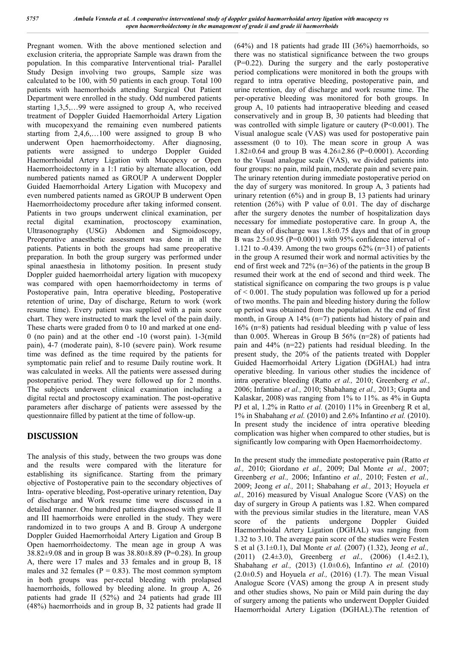Pregnant women. With the above mentioned selection and exclusion criteria, the appropriate Sample was drawn from the population. In this comparative Interventional trial- Parallel Study Design involving two groups, Sample size was calculated to be 100, with 50 patients in each group. Total 100 patients with haemorrhoids attending Surgical Out Patient Department were enrolled in the study. Odd numbered patients starting 1,3,5,…99 were assigned to group A, who received treatment of Doppler Guided Haemorrhoidal Artery Ligation with mucopexyand the remaining even numbered patients starting from 2,4,6,…100 were assigned to group B who underwent Open haemorrhoidectomy. After diagnosing, patients were assigned to undergo Doppler Guided Haemorrhoidal Artery Ligation with Mucopexy or Open Haemorrhoidectomy in a 1:1 ratio by alternate allocation, odd numbered patients named as GROUP A underwent Doppler Guided Haemorrhoidal Artery Ligation with Mucopexy and even numbered patients named as GROUP B underwent Open Haemorrhoidectomy procedure after taking informed consent. Patients in two groups underwent clinical examination, per rectal digital examination, proctoscopy examination, Ultrasonography (USG) Abdomen and Sigmoidoscopy, Preoperative anaesthetic assessment was done in all the patients. Patients in both the groups had same preoperative preparation. In both the group surgery was performed under spinal anaesthesia in lithotomy position. In present study Doppler guided haemorrhoidal artery ligation with mucopexy was compared with open haemorrhoidectomy in terms of Postoperative pain, Intra operative bleeding, Postoperative retention of urine, Day of discharge, Return to work (work resume time). Every patient was supplied with a pain score chart. They were instructed to mark the level of the pain daily. These charts were graded from 0 to 10 and marked at one end-0 (no pain) and at the other end -10 (worst pain). 1-3(mild pain), 4-7 (moderate pain), 8-10 (severe pain). Work resume time was defined as the time required by the patients for symptomatic pain relief and to resume Daily routine work. It was calculated in weeks. All the patients were assessed during postoperative period. They were followed up for 2 months. The subjects underwent clinical examination including a digital rectal and proctoscopy examination. The post-operative parameters after discharge of patients were assessed by the questionnaire filled by patient at the time of follow-up.

# **DISCUSSION**

The analysis of this study, between the two groups was done and the results were compared with the literature for establishing its significance. Starting from the primary objective of Postoperative pain to the secondary objectives of Intra- operative bleeding, Post-operative urinary retention, Day of discharge and Work resume time were discussed in a detailed manner. One hundred patients diagnosed with grade II and III haemorrhoids were enrolled in the study. They were randomized in to two groups A and B. Group A undergone Doppler Guided Haemorrhoidal Artery Ligation and Group B Open haemorrhoidectomy. The mean age in group A was 38.82±9.08 and in group B was 38.80±8.89 (P=0.28). In group A, there were 17 males and 33 females and in group B, 18 males and 32 females ( $P = 0.83$ ). The most common symptom in both groups was per-rectal bleeding with prolapsed haemorrhoids, followed by bleeding alone. In group A, 26 patients had grade II (52%) and 24 patients had grade III (48%) haemorrhoids and in group B, 32 patients had grade II

(64%) and 18 patients had grade III (36%) haemorrhoids, so there was no statistical significance between the two groups (P=0.22). During the surgery and the early postoperative period complications were monitored in both the groups with regard to intra operative bleeding, postoperative pain, and urine retention, day of discharge and work resume time. The per-operative bleeding was monitored for both groups. In group A, 10 patients had intraoperative bleeding and ceased conservatively and in group B, 30 patients had bleeding that was controlled with simple ligature or cautery (P<0.001). The Visual analogue scale (VAS) was used for postoperative pain assessment (0 to 10). The mean score in group A was 1.82±0.64 and group B was 4.26±2.86 (P=0.0001). According to the Visual analogue scale (VAS), we divided patients into four groups: no pain, mild pain, moderate pain and severe pain. The urinary retention during immediate postoperative period on the day of surgery was monitored. In group A, 3 patients had urinary retention  $(6\%)$  and in group B, 13 patients had urinary retention (26%) with P value of 0.01. The day of discharge after the surgery denotes the number of hospitalization days necessary for immediate postoperative care. In group A, the mean day of discharge was 1.8±0.75 days and that of in group B was  $2.5\pm0.95$  (P=0.0001) with 95% confidence interval of -1.121 to  $-0.439$ . Among the two groups  $62\%$  (n=31) of patients in the group A resumed their work and normal activities by the end of first week and 72% (n=36) of the patients in the group B resumed their work at the end of second and third week. The statistical significance on comparing the two groups is p value  $of < 0.001$ . The study population was followed up for a period of two months. The pain and bleeding history during the follow up period was obtained from the population. At the end of first month, in Group A 14% (n=7) patients had history of pain and 16% (n=8) patients had residual bleeding with p value of less than 0.005. Whereas in Group B 56% (n=28) of patients had pain and 44% (n=22) patients had residual bleeding. In the present study, the 20% of the patients treated with Doppler Guided Haemorrhoidal Artery Ligation (DGHAL) had intra operative bleeding. In various other studies the incidence of intra operative bleeding (Ratto *et al.,* 2010; Greenberg *et al.,*  2006; Infantino *et al.,* 2010; Shabahang *et al.,* 2013; Gupta and Kalaskar, 2008) was ranging from 1% to 11%. as 4% in Gupta PJ et al, 1.2% in Ratto *et al.* (2010) 11% in Greenberg R et al, 1% in Shabahang *et al.* (2010) and 2.6% Infantino *et al.* (2010). In present study the incidence of intra operative bleeding complication was higher when compared to other studies, but is significantly low comparing with Open Haemorrhoidectomy.

In the present study the immediate postoperative pain (Ratto *et al.,* 2010; Giordano *et al.,* 2009; Dal Monte *et al.,* 2007; Greenberg *et al.,* 2006; Infantino *et al.,* 2010; Festen *et al.,*  2009; Jeong *et al.,* 2011; Shabahang *et al.,* 2013; Hoyuela *et al.,* 2016) measured by Visual Analogue Score (VAS) on the day of surgery in Group A patients was 1.82. When compared with the previous similar studies in the literature, mean VAS score of the patients undergone Doppler Guided Haemorrhoidal Artery Ligation (DGHAL) was ranging from 1.32 to 3.10. The average pain score of the studies were Festen S et al (3.1±0.1), Dal Monte *et al.* (2007) (1.32), Jeong *et al.,*  (2011) (2.4±3.0), Greenberg *et al.,* (2006) (1.4±2.1), Shabahang *et al.,* (2013) (1.0±0.6), Infantino *et al.* (2010) (2.0±0.5) and Hoyuela *et al.,* (2016) (1.7). The mean Visual Analogue Score (VAS) among the group A in present study and other studies shows, No pain or Mild pain during the day of surgery among the patients who underwent Doppler Guided Haemorrhoidal Artery Ligation (DGHAL).The retention of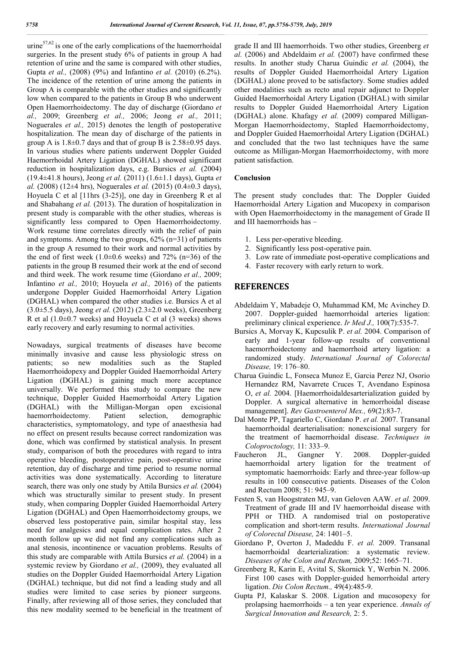urine $57,62$  is one of the early complications of the haemorrhoidal surgeries. In the present study 6% of patients in group A had retention of urine and the same is compared with other studies, Gupta *et al.,* (2008) (9%) and Infantino *et al.* (2010) (6.2%). The incidence of the retention of urine among the patients in Group A is comparable with the other studies and significantly low when compared to the patients in Group B who underwent Open Haemorrhoidectomy. The day of discharge (Giordano *et al.,* 2009; Greenberg *et al.,* 2006; Jeong *et al.,* 2011; Noguerales *et al.,* 2015) denotes the length of postoperative hospitalization. The mean day of discharge of the patients in group A is  $1.8 \pm 0.7$  days and that of group B is  $2.58 \pm 0.95$  days. In various studies where patients underwent Doppler Guided Haemorrhoidal Artery Ligation (DGHAL) showed significant reduction in hospitalization days, e.g. Bursics *et al.* (2004) (19.4±41.8 hours), Jeong *et al.* (2011) (1.6±1.1 days), Gupta *et al.* (2008) (12±4 hrs), Noguerales *et al.* (2015) (0.4±0.3 days), Hoyuela C et al [11hrs (3-25)], one day in Greenberg R et al and Shabahang *et al.* (2013). The duration of hospitalization in present study is comparable with the other studies, whereas is significantly less compared to Open Haemorrhoidectomy. Work resume time correlates directly with the relief of pain and symptoms. Among the two groups,  $62\%$  (n=31) of patients in the group A resumed to their work and normal activities by the end of first week  $(1.0\pm 0.6$  weeks) and  $72\%$  (n=36) of the patients in the group B resumed their work at the end of second and third week. The work resume time (Giordano *et al.,* 2009; Infantino *et al.,* 2010; Hoyuela *et al.,* 2016) of the patients undergone Doppler Guided Haemorrhoidal Artery Ligation (DGHAL) when compared the other studies i.e. Bursics A et al (3.0±5.5 days), Jeong *et al.* (2012) (2.3±2.0 weeks), Greenberg R et al  $(1.0\pm0.7$  weeks) and Hoyuela C et al  $(3$  weeks) shows early recovery and early resuming to normal activities.

Nowadays, surgical treatments of diseases have become minimally invasive and cause less physiologic stress on patients; so new modalities such as the Stapled Haemorrhoidopexy and Doppler Guided Haemorrhoidal Artery Ligation (DGHAL) is gaining much more acceptance universally. We performed this study to compare the new technique, Doppler Guided Haemorrhoidal Artery Ligation (DGHAL) with the Milligan-Morgan open excisional haemorrhoidectomy. Patient selection, demographic characteristics, symptomatology, and type of anaesthesia had no effect on present results because correct randomization was done, which was confirmed by statistical analysis. In present study, comparison of both the procedures with regard to intra operative bleeding, postoperative pain, post-operative urine retention, day of discharge and time period to resume normal activities was done systematically. According to literature search, there was only one study by Attila Bursics *et al.* (2004) which was structurally similar to present study. In present study, when comparing Doppler Guided Haemorrhoidal Artery Ligation (DGHAL) and Open Haemorrhoidectomy groups, we observed less postoperative pain, similar hospital stay, less need for analgesics and equal complication rates. After 2 month follow up we did not find any complications such as anal stenosis, incontinence or vacuation problems. Results of this study are comparable with Attila Bursics *et al.* (2004) in a systemic review by Giordano *et al.,* (2009), they evaluated all studies on the Doppler Guided Haemorrhoidal Artery Ligation (DGHAL) technique, but did not find a leading study and all studies were limited to case series by pioneer surgeons. Finally, after reviewing all of those series, they concluded that this new modality seemed to be beneficial in the treatment of grade II and III haemorrhoids. Two other studies, Greenberg *et al.* (2006) and Abdeldaim *et al.* (2007) have confirmed these results. In another study Charua Guindic *et al.* (2004), the results of Doppler Guided Haemorrhoidal Artery Ligation (DGHAL) alone proved to be satisfactory. Some studies added other modalities such as recto anal repair adjunct to Doppler Guided Haemorrhoidal Artery Ligation (DGHAL) with similar results to Doppler Guided Haemorrhoidal Artery Ligation (DGHAL) alone. Khafagy *et al.* (2009) compared Milligan-Morgan Haemorrhoidectomy, Stapled Haemorrhoidectomy, and Doppler Guided Haemorrhoidal Artery Ligation (DGHAL) and concluded that the two last techniques have the same outcome as Milligan-Morgan Haemorrhoidectomy, with more patient satisfaction.

#### **Conclusion**

The present study concludes that: The Doppler Guided Haemorrhoidal Artery Ligation and Mucopexy in comparison with Open Haemorrhoidectomy in the management of Grade II and III haemorrhoids has –

- 1. Less per-operative bleeding.
- 2. Significantly less post-operative pain.
- 3. Low rate of immediate post-operative complications and
- 4. Faster recovery with early return to work.

#### **REFERENCES**

- Abdeldaim Y, Mabadeje O, Muhammad KM, Mc Avinchey D. 2007. Doppler-guided haemorrhoidal arteries ligation: preliminary clinical experience. *Ir Med J.,* 100(7):535-7.
- Bursics A, Morvay K, Kupcsulik P. *et al.* 2004. Comparison of early and 1-year follow-up results of conventional haemorrhoidectomy and haemorrhoid artery ligation: a randomized study. *International Journal of Colorectal Disease,* 19: 176–80.
- Charua Guindic L, Fonseca Munoz E, Garcia Perez NJ, Osorio Hernandez RM, Navarrete Cruces T, Avendano Espinosa O, *et al.* 2004. [Haemorrhoidaldesarterialization guided by Doppler. A surgical alternative in hemorrhoidal disease management]. *Rev Gastroenterol Mex.,* 69(2):83-7.
- Dal Monte PP, Tagariello C, Giordano P. *et al.* 2007. Transanal haemorrhoidal dearterialisation: nonexcisional surgery for the treatment of haemorrhoidal disease. *Techniques in Coloproctology,* 11: 333–9.
- Faucheron JL, Gangner Y. 2008. Doppler-guided haemorrhoidal artery ligation for the treatment of symptomatic haemorrhoids: Early and three-year follow-up results in 100 consecutive patients. Diseases of the Colon and Rectum 2008; 51: 945–9.
- Festen S, van Hoogstraten MJ, van Geloven AAW. *et al.* 2009. Treatment of grade III and IV haemorrhoidal disease with PPH or THD. A randomised trial on postoperative complication and short-term results. *International Journal of Colorectal Disease,* 24: 1401–5.
- Giordano P, Overton J, Madeddu F. *et al.* 2009. Transanal haemorrhoidal dearterialization: a systematic review. *Diseases of the Colon and Rectum,* 2009;52: 1665–71.
- Greenberg R, Karin E, Avital S, Skornick Y, Werbin N. 2006. First 100 cases with Doppler-guided hemorrhoidal artery ligation. *Dis Colon Rectum.,* 49(4):485-9.
- Gupta PJ, Kalaskar S. 2008. Ligation and mucosopexy for prolapsing haemorrhoids – a ten year experience. *Annals of Surgical Innovation and Research,* 2: 5.